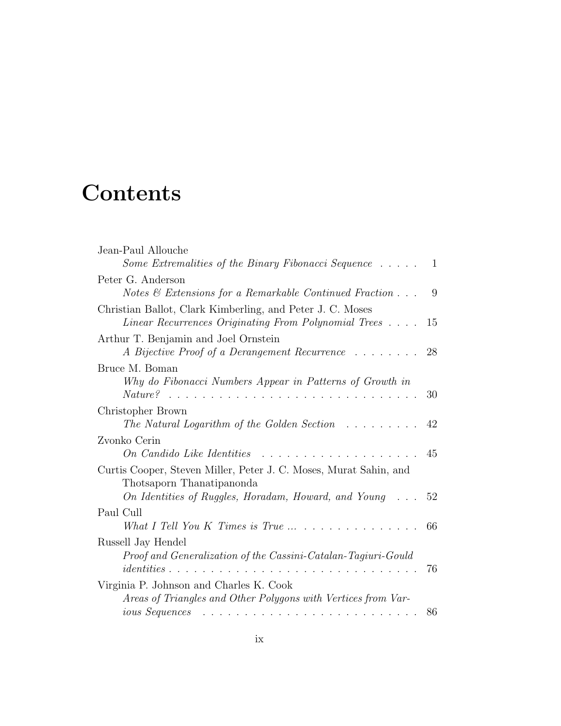## **Contents**

| Jean-Paul Allouche                                                                                                                                                                                                                                                                                                                                                                                                                                                                                                    |    |
|-----------------------------------------------------------------------------------------------------------------------------------------------------------------------------------------------------------------------------------------------------------------------------------------------------------------------------------------------------------------------------------------------------------------------------------------------------------------------------------------------------------------------|----|
| <i>Some Extremalities of the Binary Fibonacci Sequence</i> $\ldots$ .                                                                                                                                                                                                                                                                                                                                                                                                                                                 | 1  |
| Peter G. Anderson                                                                                                                                                                                                                                                                                                                                                                                                                                                                                                     |    |
| Notes $\&$ Extensions for a Remarkable Continued Fraction $\dots$                                                                                                                                                                                                                                                                                                                                                                                                                                                     | 9  |
| Christian Ballot, Clark Kimberling, and Peter J. C. Moses                                                                                                                                                                                                                                                                                                                                                                                                                                                             |    |
| Linear Recurrences Originating From Polynomial Trees                                                                                                                                                                                                                                                                                                                                                                                                                                                                  | 15 |
| Arthur T. Benjamin and Joel Ornstein                                                                                                                                                                                                                                                                                                                                                                                                                                                                                  |    |
| A Bijective Proof of a Derangement Recurrence                                                                                                                                                                                                                                                                                                                                                                                                                                                                         | 28 |
| Bruce M. Boman                                                                                                                                                                                                                                                                                                                                                                                                                                                                                                        |    |
| Why do Fibonacci Numbers Appear in Patterns of Growth in                                                                                                                                                                                                                                                                                                                                                                                                                                                              |    |
| $\it Nature?$<br>$\mathbf{1}$ $\mathbf{1}$ $\mathbf{1}$ $\mathbf{1}$ $\mathbf{1}$ $\mathbf{1}$ $\mathbf{1}$<br>$\ddot{\phantom{a}}$<br>$\cdots$<br>$\sim$ $\sim$                                                                                                                                                                                                                                                                                                                                                      | 30 |
| Christopher Brown                                                                                                                                                                                                                                                                                                                                                                                                                                                                                                     |    |
| The Natural Logarithm of the Golden Section $\ldots \ldots$                                                                                                                                                                                                                                                                                                                                                                                                                                                           | 42 |
| Zvonko Cerin                                                                                                                                                                                                                                                                                                                                                                                                                                                                                                          |    |
| On Candido Like Identities<br>.                                                                                                                                                                                                                                                                                                                                                                                                                                                                                       | 45 |
| Curtis Cooper, Steven Miller, Peter J. C. Moses, Murat Sahin, and<br>Thotsaporn Thanatipanonda                                                                                                                                                                                                                                                                                                                                                                                                                        |    |
| On Identities of Ruggles, Horadam, Howard, and Young                                                                                                                                                                                                                                                                                                                                                                                                                                                                  | 52 |
| Paul Cull                                                                                                                                                                                                                                                                                                                                                                                                                                                                                                             |    |
| What I Tell You K Times is True $\ldots$ $\ldots$ $\ldots$ $\ldots$ $\ldots$                                                                                                                                                                                                                                                                                                                                                                                                                                          | 66 |
| Russell Jay Hendel                                                                                                                                                                                                                                                                                                                                                                                                                                                                                                    |    |
| Proof and Generalization of the Cassini-Catalan-Tagiuri-Gould                                                                                                                                                                                                                                                                                                                                                                                                                                                         |    |
| $identities \ldots \ldots \ldots$<br>$\cdots$                                                                                                                                                                                                                                                                                                                                                                                                                                                                         | 76 |
| Virginia P. Johnson and Charles K. Cook                                                                                                                                                                                                                                                                                                                                                                                                                                                                               |    |
| Areas of Triangles and Other Polygons with Vertices from Var-                                                                                                                                                                                                                                                                                                                                                                                                                                                         |    |
| <i>ious Sequences</i><br>$\mathcal{L}_{\mathcal{A}}(\mathcal{A}) = \mathcal{L}_{\mathcal{A}}(\mathcal{A}) = \mathcal{L}_{\mathcal{A}}(\mathcal{A}) = \mathcal{L}_{\mathcal{A}}(\mathcal{A}) = \mathcal{L}_{\mathcal{A}}(\mathcal{A}) = \mathcal{L}_{\mathcal{A}}(\mathcal{A}) = \mathcal{L}_{\mathcal{A}}(\mathcal{A}) = \mathcal{L}_{\mathcal{A}}(\mathcal{A}) = \mathcal{L}_{\mathcal{A}}(\mathcal{A}) = \mathcal{L}_{\mathcal{A}}(\mathcal{A}) = \mathcal{L}_{\mathcal{A}}(\mathcal{A}) = \mathcal{L}_{\mathcal{A$ | 86 |